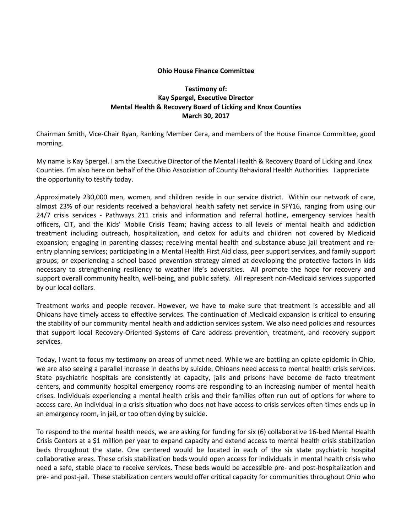## **Ohio House Finance Committee**

## **Testimony of: Kay Spergel, Executive Director Mental Health & Recovery Board of Licking and Knox Counties March 30, 2017**

Chairman Smith, Vice-Chair Ryan, Ranking Member Cera, and members of the House Finance Committee, good morning.

My name is Kay Spergel. I am the Executive Director of the Mental Health & Recovery Board of Licking and Knox Counties. I'm also here on behalf of the Ohio Association of County Behavioral Health Authorities. I appreciate the opportunity to testify today.

Approximately 230,000 men, women, and children reside in our service district. Within our network of care, almost 23% of our residents received a behavioral health safety net service in SFY16, ranging from using our 24/7 crisis services - Pathways 211 crisis and information and referral hotline, emergency services health officers, CIT, and the Kids' Mobile Crisis Team; having access to all levels of mental health and addiction treatment including outreach, hospitalization, and detox for adults and children not covered by Medicaid expansion; engaging in parenting classes; receiving mental health and substance abuse jail treatment and reentry planning services; participating in a Mental Health First Aid class, peer support services, and family support groups; or experiencing a school based prevention strategy aimed at developing the protective factors in kids necessary to strengthening resiliency to weather life's adversities. All promote the hope for recovery and support overall community health, well-being, and public safety. All represent non-Medicaid services supported by our local dollars.

Treatment works and people recover. However, we have to make sure that treatment is accessible and all Ohioans have timely access to effective services. The continuation of Medicaid expansion is critical to ensuring the stability of our community mental health and addiction services system. We also need policies and resources that support local Recovery-Oriented Systems of Care address prevention, treatment, and recovery support services.

Today, I want to focus my testimony on areas of unmet need. While we are battling an opiate epidemic in Ohio, we are also seeing a parallel increase in deaths by suicide. Ohioans need access to mental health crisis services. State psychiatric hospitals are consistently at capacity, jails and prisons have become de facto treatment centers, and community hospital emergency rooms are responding to an increasing number of mental health crises. Individuals experiencing a mental health crisis and their families often run out of options for where to access care. An individual in a crisis situation who does not have access to crisis services often times ends up in an emergency room, in jail, or too often dying by suicide.

To respond to the mental health needs, we are asking for funding for six (6) collaborative 16-bed Mental Health Crisis Centers at a \$1 million per year to expand capacity and extend access to mental health crisis stabilization beds throughout the state. One centered would be located in each of the six state psychiatric hospital collaborative areas. These crisis stabilization beds would open access for individuals in mental health crisis who need a safe, stable place to receive services. These beds would be accessible pre- and post-hospitalization and pre- and post-jail. These stabilization centers would offer critical capacity for communities throughout Ohio who